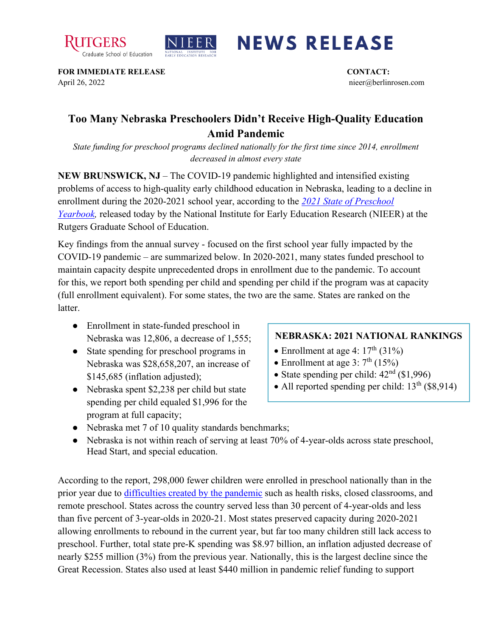



## **NEWS RELEASE**

**FOR IMMEDIATE RELEASE CONTACT:**  April 26, 2022 nieer@berlinrosen.com

## **Too Many Nebraska Preschoolers Didn't Receive High-Quality Education Amid Pandemic**

*State funding for preschool programs declined nationally for the first time since 2014, enrollment decreased in almost every state*

**NEW BRUNSWICK, NJ** – The COVID-19 pandemic highlighted and intensified existing problems of access to high-quality early childhood education in Nebraska, leading to a decline in enrollment during the 2020-2021 school year, according to the *[2021 State of Preschool](https://nieer.org/state-preschool-yearbooks-yearbook2021)  [Yearbook,](https://nieer.org/state-preschool-yearbooks-yearbook2021)* released today by the National Institute for Early Education Research (NIEER) at the Rutgers Graduate School of Education.

Key findings from the annual survey - focused on the first school year fully impacted by the COVID-19 pandemic – are summarized below. In 2020-2021, many states funded preschool to maintain capacity despite unprecedented drops in enrollment due to the pandemic. To account for this, we report both spending per child and spending per child if the program was at capacity (full enrollment equivalent). For some states, the two are the same. States are ranked on the latter.

- Enrollment in state-funded preschool in Nebraska was 12,806, a decrease of 1,555;
- State spending for preschool programs in Nebraska was \$28,658,207, an increase of \$145,685 (inflation adjusted);
- Nebraska spent \$2,238 per child but state spending per child equaled \$1,996 for the program at full capacity;

## **NEBRASKA: 2021 NATIONAL RANKINGS**

- Enrollment at age 4:  $17<sup>th</sup>$  (31%)
- Enrollment at age 3:  $7<sup>th</sup>$  (15%)
- State spending per child:  $42<sup>nd</sup>$  (\$1,996)
- All reported spending per child:  $13<sup>th</sup>$  (\$8,914)
- Nebraska met 7 of 10 quality standards benchmarks;
- Nebraska is not within reach of serving at least 70% of 4-year-olds across state preschool, Head Start, and special education.

According to the report, 298,000 fewer children were enrolled in preschool nationally than in the prior year due to [difficulties created by the pandemic](https://nieer.org/wp-content/uploads/2021/02/NIEER_Seven_Impacts_of_the_Pandemic_on_Young_Children_and_their_Parents.pdf) such as health risks, closed classrooms, and remote preschool. States across the country served less than 30 percent of 4-year-olds and less than five percent of 3-year-olds in 2020-21. Most states preserved capacity during 2020-2021 allowing enrollments to rebound in the current year, but far too many children still lack access to preschool. Further, total state pre-K spending was \$8.97 billion, an inflation adjusted decrease of nearly \$255 million (3%) from the previous year. Nationally, this is the largest decline since the Great Recession. States also used at least \$440 million in pandemic relief funding to support